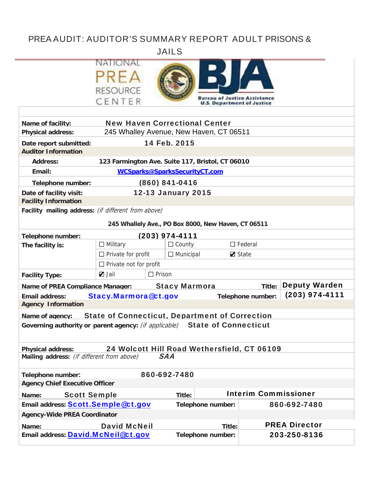# PREA AUDIT: AUDITOR'S SUMMARY REPORT ADULT PRISONS &

JAIL LS

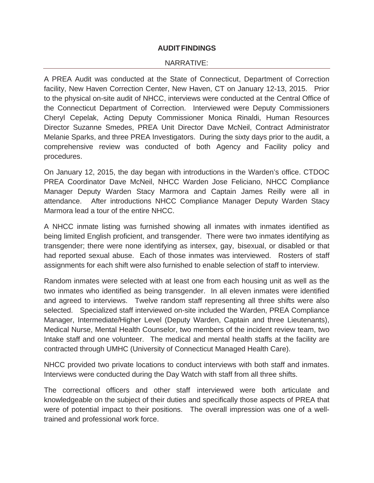### **AUDIT FINDINGS**

#### NARRATIVE:

A PREA Audit was conducted at the State of Connecticut, Department of Correction facility, New Haven Correction Center, New Haven, CT on January 12-13, 2015. Prior to the physical on-site audit of NHCC, interviews were conducted at the Central Office of the Connecticut Department of Correction. Interviewed were Deputy Commissioners Cheryl Cepelak, Acting Deputy Commissioner Monica Rinaldi, Human Resources Director Suzanne Smedes, PREA Unit Director Dave McNeil, Contract Administrator Melanie Sparks, and three PREA Investigators. During the sixty days prior to the audit, a comprehensive review was conducted of both Agency and Facility policy and procedures.

On January 12, 2015, the day began with introductions in the Warden's office. CTDOC PREA Coordinator Dave McNeil, NHCC Warden Jose Feliciano, NHCC Compliance Manager Deputy Warden Stacy Marmora and Captain James Reilly were all in attendance. After introductions NHCC Compliance Manager Deputy Warden Stacy Marmora lead a tour of the entire NHCC.

A NHCC inmate listing was furnished showing all inmates with inmates identified as being limited English proficient, and transgender. There were two inmates identifying as transgender; there were none identifying as intersex, gay, bisexual, or disabled or that had reported sexual abuse. Each of those inmates was interviewed. Rosters of staff assignments for each shift were also furnished to enable selection of staff to interview.

Random inmates were selected with at least one from each housing unit as well as the two inmates who identified as being transgender. In all eleven inmates were identified and agreed to interviews. Twelve random staff representing all three shifts were also selected. Specialized staff interviewed on-site included the Warden, PREA Compliance Manager, Intermediate/Higher Level (Deputy Warden, Captain and three Lieutenants), Medical Nurse, Mental Health Counselor, two members of the incident review team, two Intake staff and one volunteer. The medical and mental health staffs at the facility are contracted through UMHC (University of Connecticut Managed Health Care).

NHCC provided two private locations to conduct interviews with both staff and inmates. Interviews were conducted during the Day Watch with staff from all three shifts.

The correctional officers and other staff interviewed were both articulate and knowledgeable on the subject of their duties and specifically those aspects of PREA that were of potential impact to their positions. The overall impression was one of a welltrained and professional work force.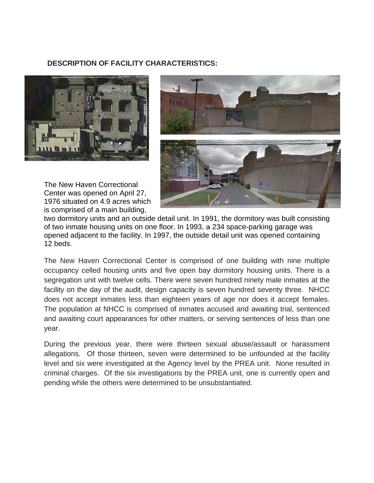### **DESCRIPTION OF FACILITY CHARACTERISTICS:**



The New Haven Correctional Center was opened on April 27, 1976 sit uated on 4 .9 acres wh hich is comprised of a main building,



two dormitory units and an outside detail unit. In 1991, the dormitory was built consisting of two inmate housing units on one floor. In 1993, a 234 space-parking garage was opened adjacent to the facility. In 1997, the outside detail unit was opened containing 12 beds .

The New Haven Correctional Center is comprised of one building with nine multiple occupancy celled housing units and five open bay dormitory housing units. There is a segregation unit with twelve cells. There were seven hundred ninety male inmates at the facility on the day of the audit, design capacity is seven hundred seventy three. NHCC does not accept inmates less than eighteen years of age nor does it accept females. The population at NHCC is comprised of inmates accused and awaiting trial, sentenced and awaiting court appearances for other matters, or serving sentences of less than one year.

During the previous year, there were thirteen sexual abuse/assault or harassment allegations. Of those thirteen, seven were determined to be unfounded at the facility level and six were investigated at the Agency level by the PREA unit. None resulted in criminal charges. Of the six investigations by the PREA unit, one is currently open and pending while the others were determined to be unsubstantiated.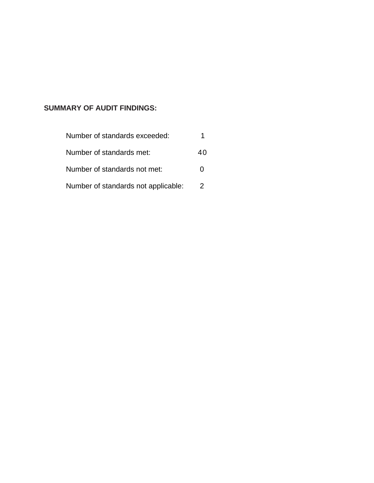## **SUMMARY OF AUDIT FINDINGS:**

| Number of standards exceeded:       |    |
|-------------------------------------|----|
| Number of standards met:            | 40 |
| Number of standards not met:        | 0  |
| Number of standards not applicable: | 2  |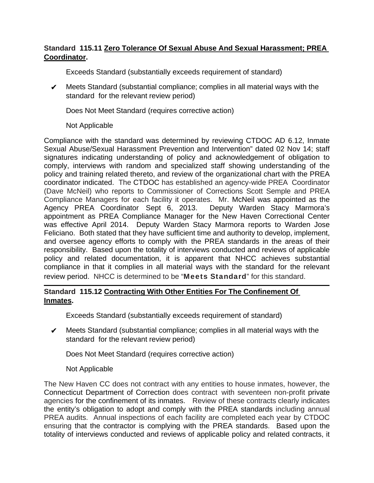## **Standard 115.11 Zero Tolerance Of Sexual Abuse And Sexual Harassment; PREA Coordinator.**

Exceeds Standard (substantially exceeds requirement of standard)

 $\mathcal V$  Meets Standard (substantial compliance; complies in all material ways with the standard for the relevant review period)

Does Not Meet Standard (requires corrective action)

### Not Applicable

Compliance with the standard was determined by reviewing CTDOC AD 6.12, Inmate Sexual Abuse/Sexual Harassment Prevention and Intervention" dated 02 Nov 14; staff signatures indicating understanding of policy and acknowledgement of obligation to comply, interviews with random and specialized staff showing understanding of the policy and training related thereto, and review of the organizational chart with the PREA coordinator indicated. The CTDOC has established an agency-wide PREA Coordinator (Dave McNeil) who reports to Commissioner of Corrections Scott Semple and PREA Compliance Managers for each facility it operates. Mr. McNeil was appointed as the Agency PREA Coordinator Sept 6, 2013. Deputy Warden Stacy Marmora's appointment as PREA Compliance Manager for the New Haven Correctional Center was effective April 2014. Deputy Warden Stacy Marmora reports to Warden Jose Feliciano. Both stated that they have sufficient time and authority to develop, implement, and oversee agency efforts to comply with the PREA standards in the areas of their responsibility. Based upon the totality of interviews conducted and reviews of applicable policy and related documentation, it is apparent that NHCC achieves substantial compliance in that it complies in all material ways with the standard for the relevant review period. NHCC is determined to be "Meets Standard" for this standard.

## **Standard 115.12 Contracting With Other Entities For The Confinement Of Inmates.**

Exceeds Standard (substantially exceeds requirement of standard)

 $\mathcal V$  Meets Standard (substantial compliance; complies in all material ways with the standard for the relevant review period)

Does Not Meet Standard (requires corrective action)

### Not Applicable

The New Haven CC does not contract with any entities to house inmates, however, the Connecticut Department of Correction does contract with seventeen non-profit private agencies for the confinement of its inmates. Review of these contracts clearly indicates the entity's obligation to adopt and comply with the PREA standards including annual PREA audits. Annual inspections of each facility are completed each year by CTDOC ensuring that the contractor is complying with the PREA standards. Based upon the totality of interviews conducted and reviews of applicable policy and related contracts, it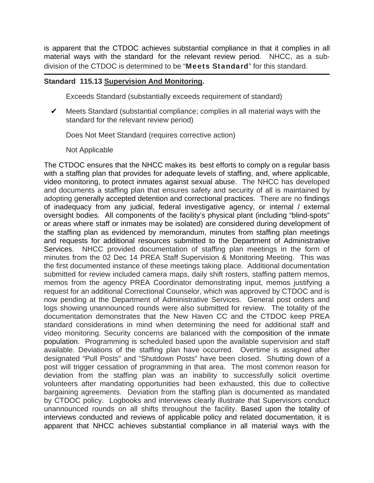is apparent that the CTDOC achieves substantial compliance in that it complies in all material ways with the standard for the relevant review period. NHCC, as a subdivision of the CTDOC is determined to be "Meets Standard" for this standard.

#### **Standard 115.13 Supervision And Monitoring.**

Exceeds Standard (substantially exceeds requirement of standard)

 $\mathcal V$  Meets Standard (substantial compliance; complies in all material ways with the standard for the relevant review period)

Does Not Meet Standard (requires corrective action)

Not Applicable

The CTDOC ensures that the NHCC makes its best efforts to comply on a regular basis with a staffing plan that provides for adequate levels of staffing, and, where applicable, video monitoring, to protect inmates against sexual abuse. The NHCC has developed and documents a staffing plan that ensures safety and security of all is maintained by adopting generally accepted detention and correctional practices. There are no findings of inadequacy from any judicial, federal investigative agency, or internal / external oversight bodies. All components of the facility's physical plant (including "blind-spots" or areas where staff or inmates may be isolated) are considered during development of the staffing plan as evidenced by memorandum, minutes from staffing plan meetings and requests for additional resources submitted to the Department of Administrative Services. NHCC provided documentation of staffing plan meetings in the form of minutes from the 02 Dec 14 PREA Staff Supervision & Monitoring Meeting. This was the first documented instance of these meetings taking place. Additional documentation submitted for review included camera maps, daily shift rosters, staffing pattern memos, memos from the agency PREA Coordinator demonstrating input, memos justifying a request for an additional Correctional Counselor, which was approved by CTDOC and is now pending at the Department of Administrative Services. General post orders and logs showing unannounced rounds were also submitted for review. The totality of the documentation demonstrates that the New Haven CC and the CTDOC keep PREA standard considerations in mind when determining the need for additional staff and video monitoring. Security concerns are balanced with the composition of the inmate population. Programming is scheduled based upon the available supervision and staff available. Deviations of the staffing plan have occurred. Overtime is assigned after designated "Pull Posts" and "Shutdown Posts" have been closed. Shutting down of a post will trigger cessation of programming in that area. The most common reason for deviation from the staffing plan was an inability to successfully solicit overtime volunteers after mandating opportunities had been exhausted, this due to collective bargaining agreements. Deviation from the staffing plan is documented as mandated by CTDOC policy. Logbooks and interviews clearly illustrate that Supervisors conduct unannounced rounds on all shifts throughout the facility. Based upon the totality of interviews conducted and reviews of applicable policy and related documentation, it is apparent that NHCC achieves substantial compliance in all material ways with the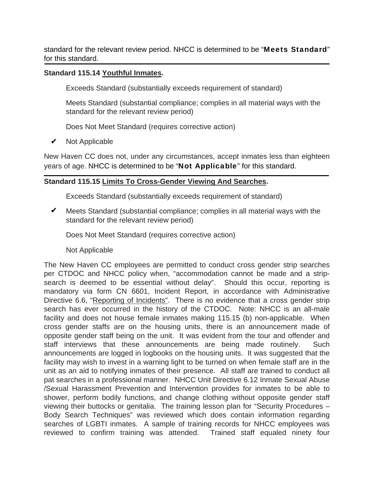standard for the relevant review period. NHCC is determined to be "Meets Standard" for this standard.

## **Standard 115.14 Youthful Inmates.**

Exceeds Standard (substantially exceeds requirement of standard)

Meets Standard (substantial compliance; complies in all material ways with the standard for the relevant review period)

Does Not Meet Standard (requires corrective action)

Not Applicable ✔

New Haven CC does not, under any circumstances, accept inmates less than eighteen years of age. NHCC is determined to be "Not Applicable" for this standard.

### **Standard 115.15 Limits To Cross-Gender Viewing And Searches.**

Exceeds Standard (substantially exceeds requirement of standard)

 $\mathcal V$  Meets Standard (substantial compliance; complies in all material ways with the standard for the relevant review period)

Does Not Meet Standard (requires corrective action)

Not Applicable

The New Haven CC employees are permitted to conduct cross gender strip searches per CTDOC and NHCC policy when, "accommodation cannot be made and a stripsearch is deemed to be essential without delay". Should this occur, reporting is mandatory via form CN 6601, Incident Report, in accordance with Administrative Directive 6.6, "Reporting of Incidents". There is no evidence that a cross gender strip search has ever occurred in the history of the CTDOC. Note: NHCC is an all-male facility and does not house female inmates making 115.15 (b) non-applicable. When cross gender staffs are on the housing units, there is an announcement made of opposite gender staff being on the unit. It was evident from the tour and offender and staff interviews that these announcements are being made routinely. Such announcements are logged in logbooks on the housing units. It was suggested that the facility may wish to invest in a warning light to be turned on when female staff are in the unit as an aid to notifying inmates of their presence. All staff are trained to conduct all pat searches in a professional manner. NHCC Unit Directive 6.12 Inmate Sexual Abuse /Sexual Harassment Prevention and Intervention provides for inmates to be able to shower, perform bodily functions, and change clothing without opposite gender staff viewing their buttocks or genitalia. The training lesson plan for "Security Procedures – Body Search Techniques" was reviewed which does contain information regarding searches of LGBTI inmates. A sample of training records for NHCC employees was reviewed to confirm training was attended. Trained staff equaled ninety four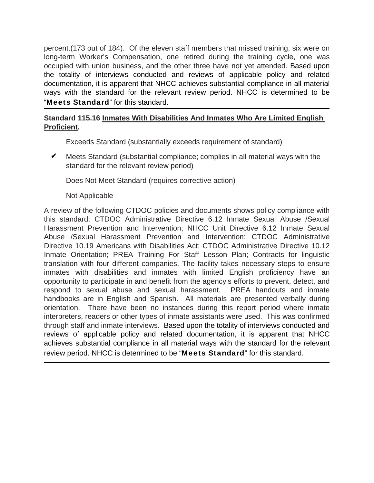percent.(173 out of 184). Of the eleven staff members that missed training, six were on long-term Worker's Compensation, one retired during the training cycle, one was occupied with union business, and the other three have not yet attended. Based upon the totality of interviews conducted and reviews of applicable policy and related documentation, it is apparent that NHCC achieves substantial compliance in all material ways with the standard for the relevant review period. NHCC is determined to be "Meets Standard" for this standard.

## **Standard 115.16 Inmates With Disabilities And Inmates Who Are Limited English Proficient.**

Exceeds Standard (substantially exceeds requirement of standard)

 $\mathcal V$  Meets Standard (substantial compliance; complies in all material ways with the standard for the relevant review period)

Does Not Meet Standard (requires corrective action)

Not Applicable

A review of the following CTDOC policies and documents shows policy compliance with this standard: CTDOC Administrative Directive 6.12 Inmate Sexual Abuse /Sexual Harassment Prevention and Intervention; NHCC Unit Directive 6.12 Inmate Sexual Abuse /Sexual Harassment Prevention and Intervention: CTDOC Administrative Directive 10.19 Americans with Disabilities Act; CTDOC Administrative Directive 10.12 Inmate Orientation; PREA Training For Staff Lesson Plan; Contracts for linguistic translation with four different companies. The facility takes necessary steps to ensure inmates with disabilities and inmates with limited English proficiency have an opportunity to participate in and benefit from the agency's efforts to prevent, detect, and respond to sexual abuse and sexual harassment. PREA handouts and inmate handbooks are in English and Spanish. All materials are presented verbally during orientation. There have been no instances during this report period where inmate interpreters, readers or other types of inmate assistants were used. This was confirmed through staff and inmate interviews. Based upon the totality of interviews conducted and reviews of applicable policy and related documentation, it is apparent that NHCC achieves substantial compliance in all material ways with the standard for the relevant review period. NHCC is determined to be "Meets Standard" for this standard.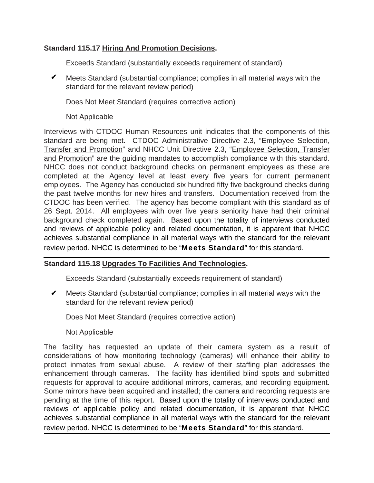## **Standard 115.17 Hiring And Promotion Decisions.**

Exceeds Standard (substantially exceeds requirement of standard)

 $\mathcal V$  Meets Standard (substantial compliance; complies in all material ways with the standard for the relevant review period)

Does Not Meet Standard (requires corrective action)

Not Applicable

Interviews with CTDOC Human Resources unit indicates that the components of this standard are being met. CTDOC Administrative Directive 2.3, "Employee Selection, Transfer and Promotion" and NHCC Unit Directive 2.3, "Employee Selection, Transfer and Promotion" are the guiding mandates to accomplish compliance with this standard. NHCC does not conduct background checks on permanent employees as these are completed at the Agency level at least every five years for current permanent employees. The Agency has conducted six hundred fifty five background checks during the past twelve months for new hires and transfers. Documentation received from the CTDOC has been verified. The agency has become compliant with this standard as of 26 Sept. 2014. All employees with over five years seniority have had their criminal background check completed again. Based upon the totality of interviews conducted and reviews of applicable policy and related documentation, it is apparent that NHCC achieves substantial compliance in all material ways with the standard for the relevant review period. NHCC is determined to be "Meets Standard" for this standard.

## **Standard 115.18 Upgrades To Facilities And Technologies.**

Exceeds Standard (substantially exceeds requirement of standard)

 $\mathcal V$  Meets Standard (substantial compliance; complies in all material ways with the standard for the relevant review period)

Does Not Meet Standard (requires corrective action)

Not Applicable

The facility has requested an update of their camera system as a result of considerations of how monitoring technology (cameras) will enhance their ability to protect inmates from sexual abuse. A review of their staffing plan addresses the enhancement through cameras. The facility has identified blind spots and submitted requests for approval to acquire additional mirrors, cameras, and recording equipment. Some mirrors have been acquired and installed; the camera and recording requests are pending at the time of this report. Based upon the totality of interviews conducted and reviews of applicable policy and related documentation, it is apparent that NHCC achieves substantial compliance in all material ways with the standard for the relevant review period. NHCC is determined to be "Meets Standard" for this standard.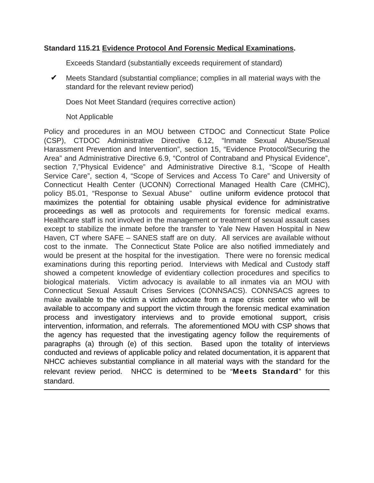### **Standard 115.21 Evidence Protocol And Forensic Medical Examinations.**

Exceeds Standard (substantially exceeds requirement of standard)

 $\mathcal V$  Meets Standard (substantial compliance; complies in all material ways with the standard for the relevant review period)

Does Not Meet Standard (requires corrective action)

Not Applicable

Policy and procedures in an MOU between CTDOC and Connecticut State Police (CSP), CTDOC Administrative Directive 6.12, "Inmate Sexual Abuse/Sexual Harassment Prevention and Intervention", section 15, "Evidence Protocol/Securing the Area" and Administrative Directive 6.9, "Control of Contraband and Physical Evidence", section 7,"Physical Evidence" and Administrative Directive 8.1, "Scope of Health Service Care", section 4, "Scope of Services and Access To Care" and University of Connecticut Health Center (UCONN) Correctional Managed Health Care (CMHC), policy B5.01, "Response to Sexual Abuse" outline uniform evidence protocol that maximizes the potential for obtaining usable physical evidence for administrative proceedings as well as protocols and requirements for forensic medical exams. Healthcare staff is not involved in the management or treatment of sexual assault cases except to stabilize the inmate before the transfer to Yale New Haven Hospital in New Haven, CT where SAFE – SANES staff are on duty. All services are available without cost to the inmate. The Connecticut State Police are also notified immediately and would be present at the hospital for the investigation. There were no forensic medical examinations during this reporting period. Interviews with Medical and Custody staff showed a competent knowledge of evidentiary collection procedures and specifics to biological materials. Victim advocacy is available to all inmates via an MOU with Connecticut Sexual Assault Crises Services (CONNSACS). CONNSACS agrees to make available to the victim a victim advocate from a rape crisis center who will be available to accompany and support the victim through the forensic medical examination process and investigatory interviews and to provide emotional support, crisis intervention, information, and referrals. The aforementioned MOU with CSP shows that the agency has requested that the investigating agency follow the requirements of paragraphs (a) through (e) of this section. Based upon the totality of interviews conducted and reviews of applicable policy and related documentation, it is apparent that NHCC achieves substantial compliance in all material ways with the standard for the relevant review period. NHCC is determined to be "Meets Standard" for this standard.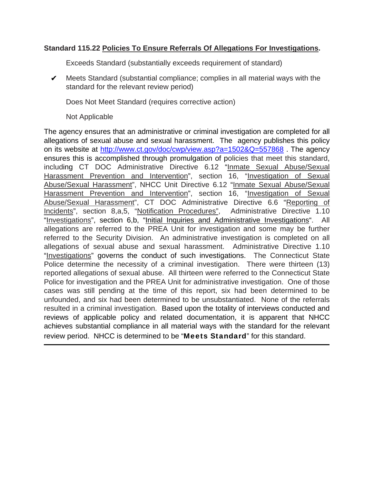## **Standard 115.22 Policies To Ensure Referrals Of Allegations For Investigations.**

Exceeds Standard (substantially exceeds requirement of standard)

 $\mathcal V$  Meets Standard (substantial compliance; complies in all material ways with the standard for the relevant review period)

Does Not Meet Standard (requires corrective action)

Not Applicable

The agency ensures that an administrative or criminal investigation are completed for all allegations of sexual abuse and sexual harassment. The agency publishes this policy on its website at http://www.ct.gov/doc/cwp/view.asp?a=1502&Q=557868 . The agency ensures this is accomplished through promulgation of policies that meet this standard, including CT DOC Administrative Directive 6.12 "Inmate Sexual Abuse/Sexual Harassment Prevention and Intervention", section 16, "Investigation of Sexual Abuse/Sexual Harassment", NHCC Unit Directive 6.12 "Inmate Sexual Abuse/Sexual Harassment Prevention and Intervention", section 16, "Investigation of Sexual Abuse/Sexual Harassment", CT DOC Administrative Directive 6.6 "Reporting of Incidents", section 8,a,5, "Notification Procedures", Administrative Directive 1.10 "Investigations", section 6,b, "Initial Inquiries and Administrative Investigations". All allegations are referred to the PREA Unit for investigation and some may be further referred to the Security Division. An administrative investigation is completed on all allegations of sexual abuse and sexual harassment. Administrative Directive 1.10 "Investigations" governs the conduct of such investigations. The Connecticut State Police determine the necessity of a criminal investigation. There were thirteen (13) reported allegations of sexual abuse. All thirteen were referred to the Connecticut State Police for investigation and the PREA Unit for administrative investigation. One of those cases was still pending at the time of this report, six had been determined to be unfounded, and six had been determined to be unsubstantiated. None of the referrals resulted in a criminal investigation. Based upon the totality of interviews conducted and reviews of applicable policy and related documentation, it is apparent that NHCC achieves substantial compliance in all material ways with the standard for the relevant review period. NHCC is determined to be "Meets Standard" for this standard.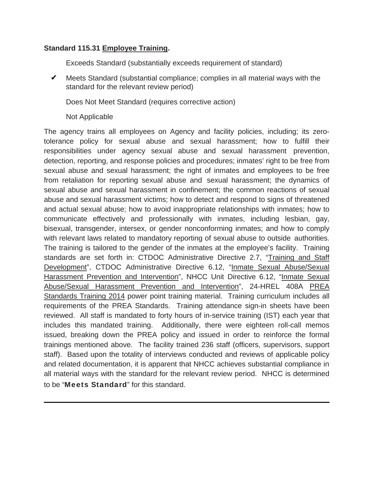## **Standard 115.31 Employee Training.**

Exceeds Standard (substantially exceeds requirement of standard)

 $\mathcal V$  Meets Standard (substantial compliance; complies in all material ways with the standard for the relevant review period)

Does Not Meet Standard (requires corrective action)

### Not Applicable

The agency trains all employees on Agency and facility policies, including; its zerotolerance policy for sexual abuse and sexual harassment; how to fulfill their responsibilities under agency sexual abuse and sexual harassment prevention, detection, reporting, and response policies and procedures; inmates' right to be free from sexual abuse and sexual harassment; the right of inmates and employees to be free from retaliation for reporting sexual abuse and sexual harassment; the dynamics of sexual abuse and sexual harassment in confinement; the common reactions of sexual abuse and sexual harassment victims; how to detect and respond to signs of threatened and actual sexual abuse; how to avoid inappropriate relationships with inmates; how to communicate effectively and professionally with inmates, including lesbian, gay, bisexual, transgender, intersex, or gender nonconforming inmates; and how to comply with relevant laws related to mandatory reporting of sexual abuse to outside authorities. The training is tailored to the gender of the inmates at the employee's facility. Training standards are set forth in: CTDOC Administrative Directive 2.7, "Training and Staff Development", CTDOC Administrative Directive 6.12, "Inmate Sexual Abuse/Sexual Harassment Prevention and Intervention", NHCC Unit Directive 6.12, "Inmate Sexual Abuse/Sexual Harassment Prevention and Intervention", 24-HREL 408A PREA Standards Training 2014 power point training material. Training curriculum includes all requirements of the PREA Standards. Training attendance sign-in sheets have been reviewed. All staff is mandated to forty hours of in-service training (IST) each year that includes this mandated training. Additionally, there were eighteen roll-call memos issued, breaking down the PREA policy and issued in order to reinforce the formal trainings mentioned above. The facility trained 236 staff (officers, supervisors, support staff). Based upon the totality of interviews conducted and reviews of applicable policy and related documentation, it is apparent that NHCC achieves substantial compliance in all material ways with the standard for the relevant review period. NHCC is determined to be "Meets Standard" for this standard.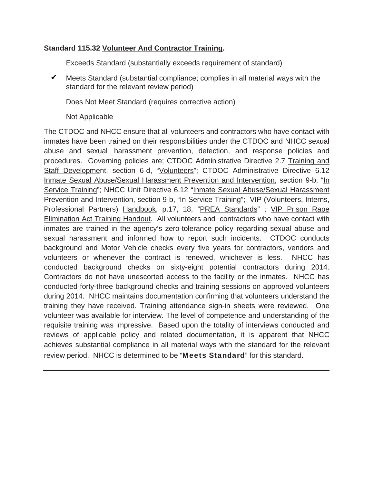## **Standard 115.32 Volunteer And Contractor Training.**

Exceeds Standard (substantially exceeds requirement of standard)

 $\mathcal V$  Meets Standard (substantial compliance; complies in all material ways with the standard for the relevant review period)

Does Not Meet Standard (requires corrective action)

Not Applicable

The CTDOC and NHCC ensure that all volunteers and contractors who have contact with inmates have been trained on their responsibilities under the CTDOC and NHCC sexual abuse and sexual harassment prevention, detection, and response policies and procedures. Governing policies are; CTDOC Administrative Directive 2.7 Training and Staff Development, section 6-d, "Volunteers"; CTDOC Administrative Directive 6.12 Inmate Sexual Abuse/Sexual Harassment Prevention and Intervention, section 9-b, "In Service Training"; NHCC Unit Directive 6.12 "Inmate Sexual Abuse/Sexual Harassment Prevention and Intervention, section 9-b, "In Service Training"; VIP (Volunteers, Interns, Professional Partners) Handbook, p.17, 18, "PREA Standards" ; VIP Prison Rape Elimination Act Training Handout. All volunteers and contractors who have contact with inmates are trained in the agency's zero-tolerance policy regarding sexual abuse and sexual harassment and informed how to report such incidents. CTDOC conducts background and Motor Vehicle checks every five years for contractors, vendors and volunteers or whenever the contract is renewed, whichever is less. NHCC has conducted background checks on sixty-eight potential contractors during 2014. Contractors do not have unescorted access to the facility or the inmates. NHCC has conducted forty-three background checks and training sessions on approved volunteers during 2014. NHCC maintains documentation confirming that volunteers understand the training they have received. Training attendance sign-in sheets were reviewed. One volunteer was available for interview. The level of competence and understanding of the requisite training was impressive. Based upon the totality of interviews conducted and reviews of applicable policy and related documentation, it is apparent that NHCC achieves substantial compliance in all material ways with the standard for the relevant review period. NHCC is determined to be "Meets Standard" for this standard.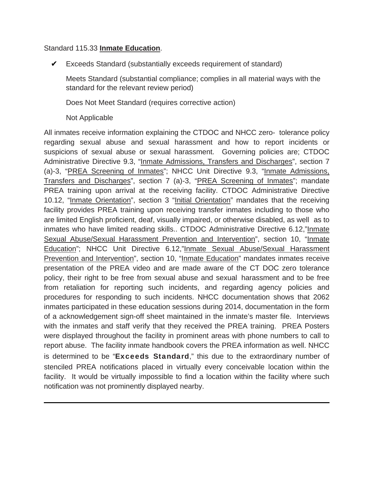#### Standard 115.33 **Inmate Education**.

Exceeds Standard (substantially exceeds requirement of standard) ✔

Meets Standard (substantial compliance; complies in all material ways with the standard for the relevant review period)

Does Not Meet Standard (requires corrective action)

Not Applicable

All inmates receive information explaining the CTDOC and NHCC zero- tolerance policy regarding sexual abuse and sexual harassment and how to report incidents or suspicions of sexual abuse or sexual harassment. Governing policies are; CTDOC Administrative Directive 9.3, "Inmate Admissions, Transfers and Discharges", section 7 (a)-3, "PREA Screening of Inmates"; NHCC Unit Directive 9.3, "Inmate Admissions, Transfers and Discharges", section 7 (a)-3, "PREA Screening of Inmates"; mandate PREA training upon arrival at the receiving facility. CTDOC Administrative Directive 10.12, "Inmate Orientation", section 3 "Initial Orientation" mandates that the receiving facility provides PREA training upon receiving transfer inmates including to those who are limited English proficient, deaf, visually impaired, or otherwise disabled, as well as to inmates who have limited reading skills.. CTDOC Administrative Directive 6.12,"Inmate Sexual Abuse/Sexual Harassment Prevention and Intervention", section 10, "Inmate Education"; NHCC Unit Directive 6.12,"Inmate Sexual Abuse/Sexual Harassment Prevention and Intervention", section 10, "Inmate Education" mandates inmates receive presentation of the PREA video and are made aware of the CT DOC zero tolerance policy, their right to be free from sexual abuse and sexual harassment and to be free from retaliation for reporting such incidents, and regarding agency policies and procedures for responding to such incidents. NHCC documentation shows that 2062 inmates participated in these education sessions during 2014, documentation in the form of a acknowledgement sign-off sheet maintained in the inmate's master file. Interviews with the inmates and staff verify that they received the PREA training. PREA Posters were displayed throughout the facility in prominent areas with phone numbers to call to report abuse. The facility inmate handbook covers the PREA information as well. NHCC is determined to be "Exceeds Standard," this due to the extraordinary number of stenciled PREA notifications placed in virtually every conceivable location within the facility. It would be virtually impossible to find a location within the facility where such notification was not prominently displayed nearby.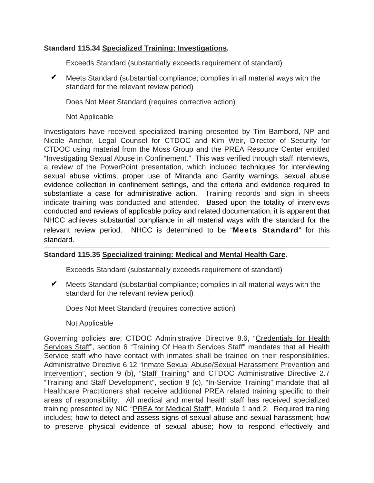## **Standard 115.34 Specialized Training: Investigations.**

Exceeds Standard (substantially exceeds requirement of standard)

 $\mathcal V$  Meets Standard (substantial compliance; complies in all material ways with the standard for the relevant review period)

Does Not Meet Standard (requires corrective action)

Not Applicable

Investigators have received specialized training presented by Tim Bambord, NP and Nicole Anchor, Legal Counsel for CTDOC and Kim Weir, Director of Security for CTDOC using material from the Moss Group and the PREA Resource Center entitled "Investigating Sexual Abuse in Confinement." This was verified through staff interviews, a review of the PowerPoint presentation, which included techniques for interviewing sexual abuse victims, proper use of Miranda and Garrity warnings, sexual abuse evidence collection in confinement settings, and the criteria and evidence required to substantiate a case for administrative action. Training records and sign in sheets indicate training was conducted and attended. Based upon the totality of interviews conducted and reviews of applicable policy and related documentation, it is apparent that NHCC achieves substantial compliance in all material ways with the standard for the relevant review period. NHCC is determined to be "Meets Standard" for this standard.

## **Standard 115.35 Specialized training: Medical and Mental Health Care.**

Exceeds Standard (substantially exceeds requirement of standard)

 $\mathcal V$  Meets Standard (substantial compliance; complies in all material ways with the standard for the relevant review period)

Does Not Meet Standard (requires corrective action)

Not Applicable

Governing policies are; CTDOC Administrative Directive 8.6, "Credentials for Health Services Staff", section 6 "Training Of Health Services Staff" mandates that all Health Service staff who have contact with inmates shall be trained on their responsibilities. Administrative Directive 6.12 "Inmate Sexual Abuse/Sexual Harassment Prevention and Intervention", section 9 (b), "Staff Training" and CTDOC Administrative Directive 2.7 "Training and Staff Development", section 8 (c), "In-Service Training" mandate that all Healthcare Practitioners shall receive additional PREA related training specific to their areas of responsibility. All medical and mental health staff has received specialized training presented by NIC "PREA for Medical Staff", Module 1 and 2. Required training includes; how to detect and assess signs of sexual abuse and sexual harassment; how to preserve physical evidence of sexual abuse; how to respond effectively and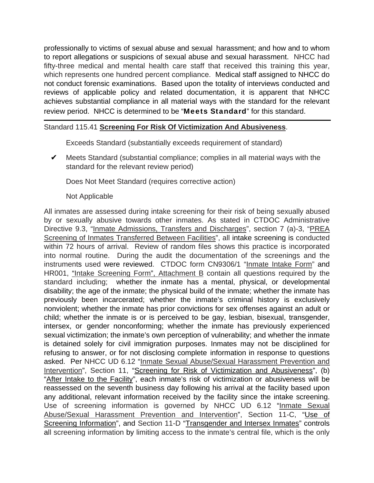professionally to victims of sexual abuse and sexual harassment; and how and to whom to report allegations or suspicions of sexual abuse and sexual harassment. NHCC had fifty-three medical and mental health care staff that received this training this year, which represents one hundred percent compliance. Medical staff assigned to NHCC do not conduct forensic examinations. Based upon the totality of interviews conducted and reviews of applicable policy and related documentation, it is apparent that NHCC achieves substantial compliance in all material ways with the standard for the relevant review period. NHCC is determined to be "Meets Standard" for this standard.

## Standard 115.41 **Screening For Risk Of Victimization And Abusiveness**.

Exceeds Standard (substantially exceeds requirement of standard)

 $\mathcal V$  Meets Standard (substantial compliance; complies in all material ways with the standard for the relevant review period)

Does Not Meet Standard (requires corrective action)

### Not Applicable

All inmates are assessed during intake screening for their risk of being sexually abused by or sexually abusive towards other inmates. As stated in CTDOC Administrative Directive 9.3, "Inmate Admissions, Transfers and Discharges", section 7 (a)-3, "PREA Screening of Inmates Transferred Between Facilities", all intake screening is conducted within 72 hours of arrival. Review of random files shows this practice is incorporated into normal routine. During the audit the documentation of the screenings and the instruments used were reviewed. CTDOC form CN9306/1 "Inmate Intake Form" and HR001, "Intake Screening Form", Attachment B contain all questions required by the standard including; whether the inmate has a mental, physical, or developmental disability; the age of the inmate; the physical build of the inmate; whether the inmate has previously been incarcerated; whether the inmate's criminal history is exclusively nonviolent; whether the inmate has prior convictions for sex offenses against an adult or child; whether the inmate is or is perceived to be gay, lesbian, bisexual, transgender, intersex, or gender nonconforming; whether the inmate has previously experienced sexual victimization; the inmate's own perception of vulnerability; and whether the inmate is detained solely for civil immigration purposes. Inmates may not be disciplined for refusing to answer, or for not disclosing complete information in response to questions asked. Per NHCC UD 6.12 "Inmate Sexual Abuse/Sexual Harassment Prevention and Intervention", Section 11, "Screening for Risk of Victimization and Abusiveness", (b) "After Intake to the Facility", each inmate's risk of victimization or abusiveness will be reassessed on the seventh business day following his arrival at the facility based upon any additional, relevant information received by the facility since the intake screening. Use of screening information is governed by NHCC UD 6.12 "Inmate Sexual Abuse/Sexual Harassment Prevention and Intervention", Section 11-C, "Use of Screening Information", and Section 11-D "Transgender and Intersex Inmates" controls all screening information by limiting access to the inmate's central file, which is the only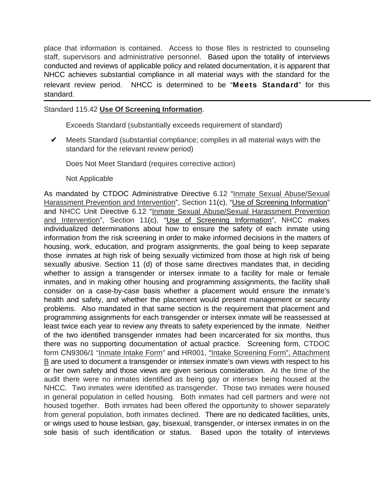place that information is contained. Access to those files is restricted to counseling staff, supervisors and administrative personnel. Based upon the totality of interviews conducted and reviews of applicable policy and related documentation, it is apparent that NHCC achieves substantial compliance in all material ways with the standard for the relevant review period. NHCC is determined to be "Meets Standard" for this standard.

### Standard 115.42 **Use Of Screening Information**.

Exceeds Standard (substantially exceeds requirement of standard)

Meets Standard (substantial compliance; complies in all material ways with the standard for the relevant review period)  $\checkmark$ 

Does Not Meet Standard (requires corrective action)

Not Applicable

As mandated by CTDOC Administrative Directive 6.12 "Inmate Sexual Abuse/Sexual Harassment Prevention and Intervention", Section 11(c), "Use of Screening Information" and NHCC Unit Directive 6.12 "Inmate Sexual Abuse/Sexual Harassment Prevention and Intervention", Section 11(c), "Use of Screening Information", NHCC makes individualized determinations about how to ensure the safety of each inmate using information from the risk screening in order to make informed decisions in the matters of housing, work, education, and program assignments, the goal being to keep separate those inmates at high risk of being sexually victimized from those at high risk of being sexually abusive. Section 11 (d) of those same directives mandates that, in deciding whether to assign a transgender or intersex inmate to a facility for male or female inmates, and in making other housing and programming assignments, the facility shall consider on a case-by-case basis whether a placement would ensure the inmate's health and safety, and whether the placement would present management or security problems. Also mandated in that same section is the requirement that placement and programming assignments for each transgender or intersex inmate will be reassessed at least twice each year to review any threats to safety experienced by the inmate. Neither of the two identified transgender inmates had been incarcerated for six months, thus there was no supporting documentation of actual practice. Screening form, CTDOC form CN9306/1 "Inmate Intake Form" and HR001, "Intake Screening Form", Attachment  $B$  are used to document a transgender or intersex inmate's own views with respect to his or her own safety and those views are given serious consideration. At the time of the audit there were no inmates identified as being gay or intersex being housed at the NHCC. Two inmates were identified as transgender. Those two inmates were housed in general population in celled housing. Both inmates had cell partners and were not housed together. Both inmates had been offered the opportunity to shower separately from general population, both inmates declined. There are no dedicated facilities, units, or wings used to house lesbian, gay, bisexual, transgender, or intersex inmates in on the sole basis of such identification or status. Based upon the totality of interviews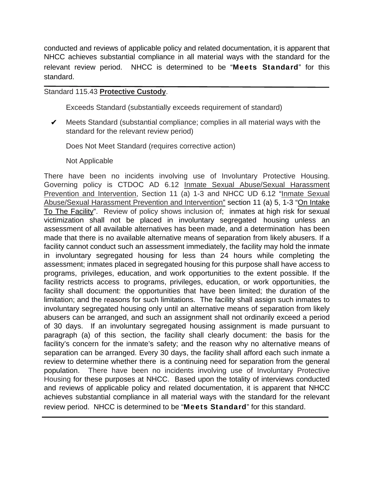conducted and reviews of applicable policy and related documentation, it is apparent that NHCC achieves substantial compliance in all material ways with the standard for the relevant review period. NHCC is determined to be "Meets Standard" for this standard.

## Standard 115.43 **Protective Custody**.

Exceeds Standard (substantially exceeds requirement of standard)

 $\mathcal V$  Meets Standard (substantial compliance; complies in all material ways with the standard for the relevant review period)

Does Not Meet Standard (requires corrective action)

Not Applicable

There have been no incidents involving use of Involuntary Protective Housing. Governing policy is CTDOC AD 6.12 Inmate Sexual Abuse/Sexual Harassment Prevention and Intervention, Section 11 (a) 1-3 and NHCC UD 6.12 "Inmate Sexual Abuse/Sexual Harassment Prevention and Intervention" section 11 (a) 5, 1-3 "On Intake To The Facility". Review of policy shows inclusion of; inmates at high risk for sexual victimization shall not be placed in involuntary segregated housing unless an assessment of all available alternatives has been made, and a determination has been made that there is no available alternative means of separation from likely abusers. If a facility cannot conduct such an assessment immediately, the facility may hold the inmate in involuntary segregated housing for less than 24 hours while completing the assessment; inmates placed in segregated housing for this purpose shall have access to programs, privileges, education, and work opportunities to the extent possible. If the facility restricts access to programs, privileges, education, or work opportunities, the facility shall document: the opportunities that have been limited; the duration of the limitation; and the reasons for such limitations. The facility shall assign such inmates to involuntary segregated housing only until an alternative means of separation from likely abusers can be arranged, and such an assignment shall not ordinarily exceed a period of 30 days. If an involuntary segregated housing assignment is made pursuant to paragraph (a) of this section, the facility shall clearly document: the basis for the facility's concern for the inmate's safety; and the reason why no alternative means of separation can be arranged. Every 30 days, the facility shall afford each such inmate a review to determine whether there is a continuing need for separation from the general population. There have been no incidents involving use of Involuntary Protective Housing for these purposes at NHCC. Based upon the totality of interviews conducted and reviews of applicable policy and related documentation, it is apparent that NHCC achieves substantial compliance in all material ways with the standard for the relevant review period. NHCC is determined to be "Meets Standard" for this standard.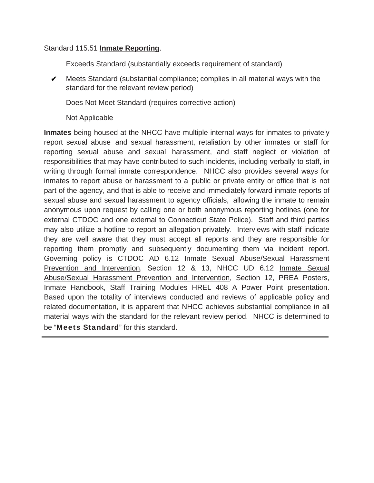### Standard 115.51 **Inmate Reporting**.

Exceeds Standard (substantially exceeds requirement of standard)

 $\mathcal V$  Meets Standard (substantial compliance; complies in all material ways with the standard for the relevant review period)

Does Not Meet Standard (requires corrective action)

Not Applicable

**Inmates** being housed at the NHCC have multiple internal ways for inmates to privately report sexual abuse and sexual harassment, retaliation by other inmates or staff for reporting sexual abuse and sexual harassment, and staff neglect or violation of responsibilities that may have contributed to such incidents, including verbally to staff, in writing through formal inmate correspondence. NHCC also provides several ways for inmates to report abuse or harassment to a public or private entity or office that is not part of the agency, and that is able to receive and immediately forward inmate reports of sexual abuse and sexual harassment to agency officials, allowing the inmate to remain anonymous upon request by calling one or both anonymous reporting hotlines (one for external CTDOC and one external to Connecticut State Police). Staff and third parties may also utilize a hotline to report an allegation privately. Interviews with staff indicate they are well aware that they must accept all reports and they are responsible for reporting them promptly and subsequently documenting them via incident report. Governing policy is CTDOC AD 6.12 Inmate Sexual Abuse/Sexual Harassment Prevention and Intervention, Section 12 & 13, NHCC UD 6.12 Inmate Sexual Abuse/Sexual Harassment Prevention and Intervention, Section 12, PREA Posters, Inmate Handbook, Staff Training Modules HREL 408 A Power Point presentation. Based upon the totality of interviews conducted and reviews of applicable policy and related documentation, it is apparent that NHCC achieves substantial compliance in all material ways with the standard for the relevant review period. NHCC is determined to be "Meets Standard" for this standard.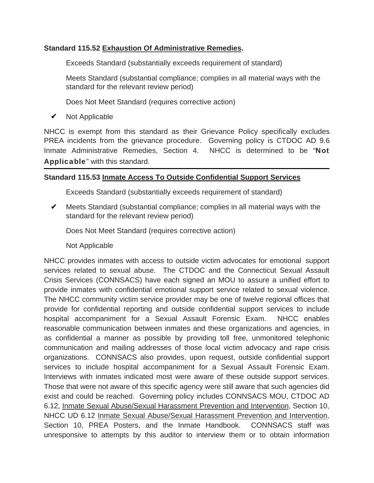## **Standard 115.52 Exhaustion Of Administrative Remedies.**

Exceeds Standard (substantially exceeds requirement of standard)

Meets Standard (substantial compliance; complies in all material ways with the standard for the relevant review period)

Does Not Meet Standard (requires corrective action)

Not Applicable  $\checkmark$ 

NHCC is exempt from this standard as their Grievance Policy specifically excludes PREA incidents from the grievance procedure. Governing policy is CTDOC AD 9.6 Inmate Administrative Remedies, Section 4. NHCC is determined to be "Not Applicable" with this standard.

## **Standard 115.53 Inmate Access To Outside Confidential Support Services**

Exceeds Standard (substantially exceeds requirement of standard)

 $\mathcal V$  Meets Standard (substantial compliance; complies in all material ways with the standard for the relevant review period)

Does Not Meet Standard (requires corrective action)

Not Applicable

NHCC provides inmates with access to outside victim advocates for emotional support services related to sexual abuse. The CTDOC and the Connecticut Sexual Assault Crisis Services (CONNSACS) have each signed an MOU to assure a unified effort to provide inmates with confidential emotional support service related to sexual violence. The NHCC community victim service provider may be one of twelve regional offices that provide for confidential reporting and outside confidential support services to include hospital accompaniment for a Sexual Assault Forensic Exam. NHCC enables reasonable communication between inmates and these organizations and agencies, in as confidential a manner as possible by providing toll free, unmonitored telephonic communication and mailing addresses of those local victim advocacy and rape crisis organizations. CONNSACS also provides, upon request, outside confidential support services to include hospital accompaniment for a Sexual Assault Forensic Exam. Interviews with inmates indicated most were aware of these outside support services. Those that were not aware of this specific agency were still aware that such agencies did exist and could be reached. Governing policy includes CONNSACS MOU, CTDOC AD 6.12, Inmate Sexual Abuse/Sexual Harassment Prevention and Intervention, Section 10, NHCC UD 6.12 Inmate Sexual Abuse/Sexual Harassment Prevention and Intervention, Section 10, PREA Posters, and the Inmate Handbook. CONNSACS staff was unresponsive to attempts by this auditor to interview them or to obtain information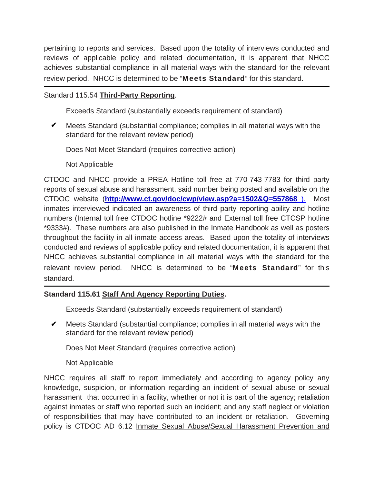pertaining to reports and services. Based upon the totality of interviews conducted and reviews of applicable policy and related documentation, it is apparent that NHCC achieves substantial compliance in all material ways with the standard for the relevant review period. NHCC is determined to be "Meets Standard" for this standard.

## Standard 115.54 **Third-Party Reporting**.

Exceeds Standard (substantially exceeds requirement of standard)

Meets Standard (substantial compliance; complies in all material ways with the standard for the relevant review period)  $\checkmark$ 

Does Not Meet Standard (requires corrective action)

Not Applicable

CTDOC and NHCC provide a PREA Hotline toll free at 770-743-7783 for third party reports of sexual abuse and harassment, said number being posted and available on the CTDOC website (**http://www.ct.gov/doc/cwp/view.asp?a=1502&Q=557868** ). Most inmates interviewed indicated an awareness of third party reporting ability and hotline numbers (Internal toll free CTDOC hotline \*9222# and External toll free CTCSP hotline \*9333#). These numbers are also published in the Inmate Handbook as well as posters throughout the facility in all inmate access areas. Based upon the totality of interviews conducted and reviews of applicable policy and related documentation, it is apparent that NHCC achieves substantial compliance in all material ways with the standard for the relevant review period. NHCC is determined to be "Meets Standard" for this standard.

## **Standard 115.61 Staff And Agency Reporting Duties.**

Exceeds Standard (substantially exceeds requirement of standard)

 $\mathcal V$  Meets Standard (substantial compliance; complies in all material ways with the standard for the relevant review period)

Does Not Meet Standard (requires corrective action)

## Not Applicable

NHCC requires all staff to report immediately and according to agency policy any knowledge, suspicion, or information regarding an incident of sexual abuse or sexual harassment that occurred in a facility, whether or not it is part of the agency; retaliation against inmates or staff who reported such an incident; and any staff neglect or violation of responsibilities that may have contributed to an incident or retaliation. Governing policy is CTDOC AD 6.12 Inmate Sexual Abuse/Sexual Harassment Prevention and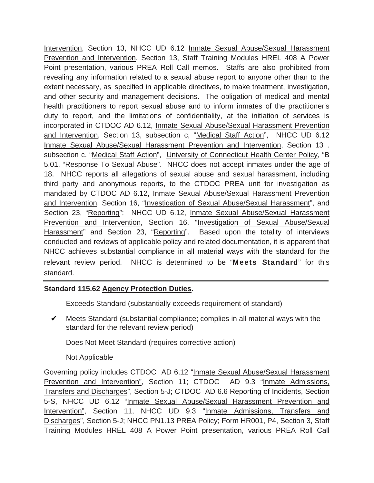Intervention, Section 13, NHCC UD 6.12 Inmate Sexual Abuse/Sexual Harassment Prevention and Intervention, Section 13, Staff Training Modules HREL 408 A Power Point presentation, various PREA Roll Call memos. Staffs are also prohibited from revealing any information related to a sexual abuse report to anyone other than to the extent necessary, as specified in applicable directives, to make treatment, investigation, and other security and management decisions. The obligation of medical and mental health practitioners to report sexual abuse and to inform inmates of the practitioner's duty to report, and the limitations of confidentiality, at the initiation of services is incorporated in CTDOC AD 6.12, Inmate Sexual Abuse/Sexual Harassment Prevention and Intervention, Section 13, subsection c, "Medical Staff Action", NHCC UD 6.12 Inmate Sexual Abuse/Sexual Harassment Prevention and Intervention, Section 13 . subsection c, "Medical Staff Action", University of Connecticut Health Center Policy, "B 5.01, "Response To Sexual Abuse". NHCC does not accept inmates under the age of 18. NHCC reports all allegations of sexual abuse and sexual harassment, including third party and anonymous reports, to the CTDOC PREA unit for investigation as mandated by CTDOC AD 6.12, Inmate Sexual Abuse/Sexual Harassment Prevention and Intervention, Section 16, "Investigation of Sexual Abuse/Sexual Harassment", and Section 23, "Reporting"; NHCC UD 6.12, Inmate Sexual Abuse/Sexual Harassment Prevention and Intervention, Section 16, "Investigation of Sexual Abuse/Sexual Harassment" and Section 23, "Reporting". Based upon the totality of interviews conducted and reviews of applicable policy and related documentation, it is apparent that NHCC achieves substantial compliance in all material ways with the standard for the relevant review period. NHCC is determined to be "Meets Standard" for this standard.

## **Standard 115.62 Agency Protection Duties.**

Exceeds Standard (substantially exceeds requirement of standard)

 $\mathcal V$  Meets Standard (substantial compliance; complies in all material ways with the standard for the relevant review period)

Does Not Meet Standard (requires corrective action)

Not Applicable

Governing policy includes CTDOC AD 6.12 "Inmate Sexual Abuse/Sexual Harassment Prevention and Intervention", Section 11; CTDOC AD 9.3 "Inmate Admissions, Transfers and Discharges", Section 5-J; CTDOC AD 6.6 Reporting of Incidents, Section 5-S, NHCC UD 6.12 "Inmate Sexual Abuse/Sexual Harassment Prevention and Intervention", Section 11, NHCC UD 9.3 "Inmate Admissions, Transfers and Discharges", Section 5-J; NHCC PN1.13 PREA Policy; Form HR001, P4, Section 3, Staff Training Modules HREL 408 A Power Point presentation, various PREA Roll Call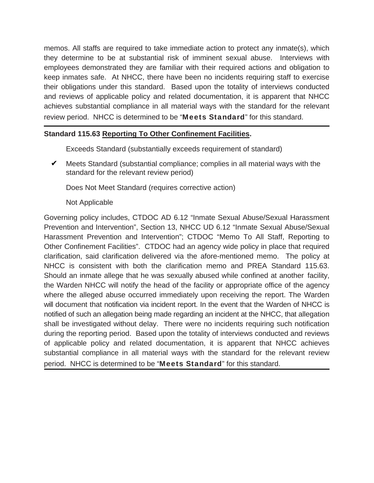memos. All staffs are required to take immediate action to protect any inmate(s), which they determine to be at substantial risk of imminent sexual abuse. Interviews with employees demonstrated they are familiar with their required actions and obligation to keep inmates safe. At NHCC, there have been no incidents requiring staff to exercise their obligations under this standard. Based upon the totality of interviews conducted and reviews of applicable policy and related documentation, it is apparent that NHCC achieves substantial compliance in all material ways with the standard for the relevant review period. NHCC is determined to be "Meets Standard" for this standard.

## **Standard 115.63 Reporting To Other Confinement Facilities.**

Exceeds Standard (substantially exceeds requirement of standard)

 $\mathcal V$  Meets Standard (substantial compliance; complies in all material ways with the standard for the relevant review period)

Does Not Meet Standard (requires corrective action)

### Not Applicable

Governing policy includes, CTDOC AD 6.12 "Inmate Sexual Abuse/Sexual Harassment Prevention and Intervention", Section 13, NHCC UD 6.12 "Inmate Sexual Abuse/Sexual Harassment Prevention and Intervention"; CTDOC "Memo To All Staff, Reporting to Other Confinement Facilities". CTDOC had an agency wide policy in place that required clarification, said clarification delivered via the afore-mentioned memo. The policy at NHCC is consistent with both the clarification memo and PREA Standard 115.63. Should an inmate allege that he was sexually abused while confined at another facility, the Warden NHCC will notify the head of the facility or appropriate office of the agency where the alleged abuse occurred immediately upon receiving the report. The Warden will document that notification via incident report. In the event that the Warden of NHCC is notified of such an allegation being made regarding an incident at the NHCC, that allegation shall be investigated without delay. There were no incidents requiring such notification during the reporting period. Based upon the totality of interviews conducted and reviews of applicable policy and related documentation, it is apparent that NHCC achieves substantial compliance in all material ways with the standard for the relevant review period. NHCC is determined to be "Meets Standard" for this standard.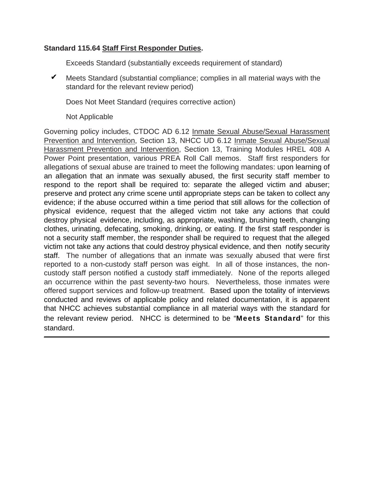## **Standard 115.64 Staff First Responder Duties.**

Exceeds Standard (substantially exceeds requirement of standard)

 $\mathcal V$  Meets Standard (substantial compliance; complies in all material ways with the standard for the relevant review period)

Does Not Meet Standard (requires corrective action)

Not Applicable

Governing policy includes, CTDOC AD 6.12 Inmate Sexual Abuse/Sexual Harassment Prevention and Intervention, Section 13, NHCC UD 6.12 Inmate Sexual Abuse/Sexual Harassment Prevention and Intervention, Section 13, Training Modules HREL 408 A Power Point presentation, various PREA Roll Call memos. Staff first responders for allegations of sexual abuse are trained to meet the following mandates: upon learning of an allegation that an inmate was sexually abused, the first security staff member to respond to the report shall be required to: separate the alleged victim and abuser; preserve and protect any crime scene until appropriate steps can be taken to collect any evidence; if the abuse occurred within a time period that still allows for the collection of physical evidence, request that the alleged victim not take any actions that could destroy physical evidence, including, as appropriate, washing, brushing teeth, changing clothes, urinating, defecating, smoking, drinking, or eating. If the first staff responder is not a security staff member, the responder shall be required to request that the alleged victim not take any actions that could destroy physical evidence, and then notify security staff. The number of allegations that an inmate was sexually abused that were first reported to a non-custody staff person was eight. In all of those instances, the noncustody staff person notified a custody staff immediately. None of the reports alleged an occurrence within the past seventy-two hours. Nevertheless, those inmates were offered support services and follow-up treatment. Based upon the totality of interviews conducted and reviews of applicable policy and related documentation, it is apparent that NHCC achieves substantial compliance in all material ways with the standard for the relevant review period. NHCC is determined to be "Meets Standard" for this standard.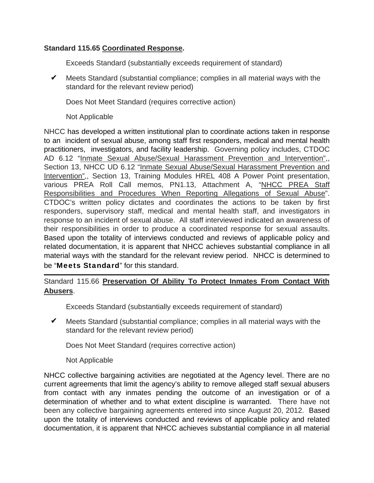## **Standard 115.65 Coordinated Response.**

Exceeds Standard (substantially exceeds requirement of standard)

 $\mathcal V$  Meets Standard (substantial compliance; complies in all material ways with the standard for the relevant review period)

Does Not Meet Standard (requires corrective action)

Not Applicable

NHCC has developed a written institutional plan to coordinate actions taken in response to an incident of sexual abuse, among staff first responders, medical and mental health practitioners, investigators, and facility leadership. Governing policy includes, CTDOC AD 6.12 "Inmate Sexual Abuse/Sexual Harassment Prevention and Intervention",, Section 13, NHCC UD 6.12 "Inmate Sexual Abuse/Sexual Harassment Prevention and Intervention",, Section 13, Training Modules HREL 408 A Power Point presentation, various PREA Roll Call memos, PN1.13, Attachment A, "NHCC PREA Staff Responsibilities and Procedures When Reporting Allegations of Sexual Abuse". CTDOC's written policy dictates and coordinates the actions to be taken by first responders, supervisory staff, medical and mental health staff, and investigators in response to an incident of sexual abuse. All staff interviewed indicated an awareness of their responsibilities in order to produce a coordinated response for sexual assaults. Based upon the totality of interviews conducted and reviews of applicable policy and related documentation, it is apparent that NHCC achieves substantial compliance in all material ways with the standard for the relevant review period. NHCC is determined to be "Meets Standard" for this standard.

## Standard 115.66 **Preservation Of Ability To Protect Inmates From Contact With Abusers**.

Exceeds Standard (substantially exceeds requirement of standard)

Meets Standard (substantial compliance; complies in all material ways with the standard for the relevant review period)  $\checkmark$ 

Does Not Meet Standard (requires corrective action)

Not Applicable

NHCC collective bargaining activities are negotiated at the Agency level. There are no current agreements that limit the agency's ability to remove alleged staff sexual abusers from contact with any inmates pending the outcome of an investigation or of a determination of whether and to what extent discipline is warranted. There have not been any collective bargaining agreements entered into since August 20, 2012. Based upon the totality of interviews conducted and reviews of applicable policy and related documentation, it is apparent that NHCC achieves substantial compliance in all material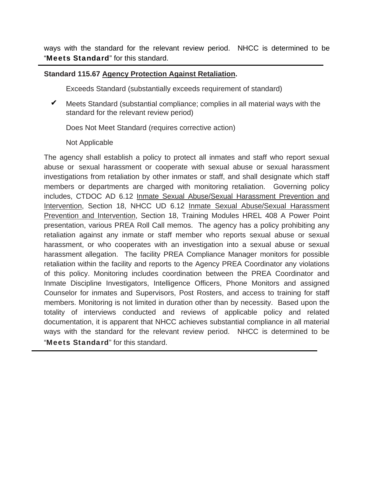ways with the standard for the relevant review period. NHCC is determined to be "Meets Standard" for this standard.

## **Standard 115.67 Agency Protection Against Retaliation.**

Exceeds Standard (substantially exceeds requirement of standard)

 $\mathcal V$  Meets Standard (substantial compliance; complies in all material ways with the standard for the relevant review period)

Does Not Meet Standard (requires corrective action)

### Not Applicable

The agency shall establish a policy to protect all inmates and staff who report sexual abuse or sexual harassment or cooperate with sexual abuse or sexual harassment investigations from retaliation by other inmates or staff, and shall designate which staff members or departments are charged with monitoring retaliation. Governing policy includes, CTDOC AD 6.12 Inmate Sexual Abuse/Sexual Harassment Prevention and Intervention, Section 18, NHCC UD 6.12 Inmate Sexual Abuse/Sexual Harassment Prevention and Intervention, Section 18, Training Modules HREL 408 A Power Point presentation, various PREA Roll Call memos. The agency has a policy prohibiting any retaliation against any inmate or staff member who reports sexual abuse or sexual harassment, or who cooperates with an investigation into a sexual abuse or sexual harassment allegation. The facility PREA Compliance Manager monitors for possible retaliation within the facility and reports to the Agency PREA Coordinator any violations of this policy. Monitoring includes coordination between the PREA Coordinator and Inmate Discipline Investigators, Intelligence Officers, Phone Monitors and assigned Counselor for inmates and Supervisors, Post Rosters, and access to training for staff members. Monitoring is not limited in duration other than by necessity. Based upon the totality of interviews conducted and reviews of applicable policy and related documentation, it is apparent that NHCC achieves substantial compliance in all material ways with the standard for the relevant review period. NHCC is determined to be "Meets Standard" for this standard.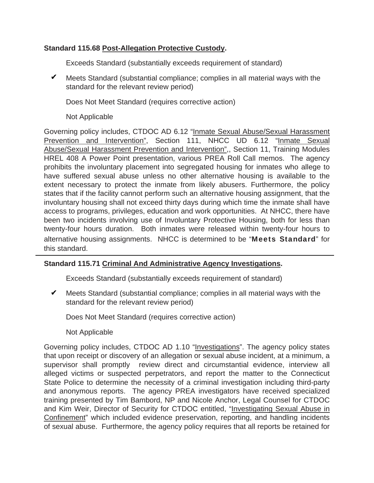## **Standard 115.68 Post-Allegation Protective Custody.**

Exceeds Standard (substantially exceeds requirement of standard)

 $\mathcal V$  Meets Standard (substantial compliance; complies in all material ways with the standard for the relevant review period)

Does Not Meet Standard (requires corrective action)

Not Applicable

Governing policy includes, CTDOC AD 6.12 "Inmate Sexual Abuse/Sexual Harassment Prevention and Intervention", Section 111, NHCC UD 6.12 "Inmate Sexual Abuse/Sexual Harassment Prevention and Intervention",, Section 11, Training Modules HREL 408 A Power Point presentation, various PREA Roll Call memos. The agency prohibits the involuntary placement into segregated housing for inmates who allege to have suffered sexual abuse unless no other alternative housing is available to the extent necessary to protect the inmate from likely abusers. Furthermore, the policy states that if the facility cannot perform such an alternative housing assignment, that the involuntary housing shall not exceed thirty days during which time the inmate shall have access to programs, privileges, education and work opportunities. At NHCC, there have been two incidents involving use of Involuntary Protective Housing, both for less than twenty-four hours duration. Both inmates were released within twenty-four hours to alternative housing assignments. NHCC is determined to be "Meets Standard" for this standard.

## **Standard 115.71 Criminal And Administrative Agency Investigations.**

Exceeds Standard (substantially exceeds requirement of standard)

 $\mathcal V$  Meets Standard (substantial compliance; complies in all material ways with the standard for the relevant review period)

Does Not Meet Standard (requires corrective action)

Not Applicable

Governing policy includes, CTDOC AD 1.10 "Investigations". The agency policy states that upon receipt or discovery of an allegation or sexual abuse incident, at a minimum, a supervisor shall promptly review direct and circumstantial evidence, interview all alleged victims or suspected perpetrators, and report the matter to the Connecticut State Police to determine the necessity of a criminal investigation including third-party and anonymous reports. The agency PREA investigators have received specialized training presented by Tim Bambord, NP and Nicole Anchor, Legal Counsel for CTDOC and Kim Weir, Director of Security for CTDOC entitled, "Investigating Sexual Abuse in Confinement" which included evidence preservation, reporting, and handling incidents of sexual abuse. Furthermore, the agency policy requires that all reports be retained for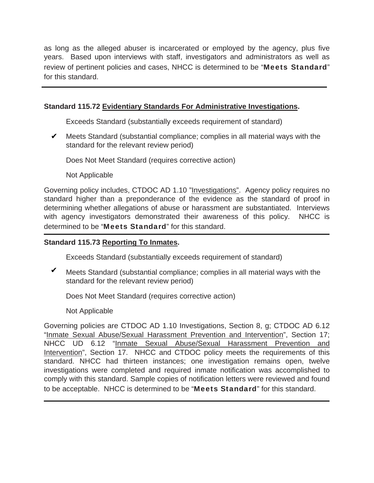as long as the alleged abuser is incarcerated or employed by the agency, plus five years. Based upon interviews with staff, investigators and administrators as well as review of pertinent policies and cases, NHCC is determined to be "Meets Standard" for this standard.

## **Standard 115.72 Evidentiary Standards For Administrative Investigations.**

Exceeds Standard (substantially exceeds requirement of standard)

 $\mathcal V$  Meets Standard (substantial compliance; complies in all material ways with the standard for the relevant review period)

Does Not Meet Standard (requires corrective action)

Not Applicable

Governing policy includes, CTDOC AD 1.10 "Investigations". Agency policy requires no standard higher than a preponderance of the evidence as the standard of proof in determining whether allegations of abuse or harassment are substantiated. Interviews with agency investigators demonstrated their awareness of this policy. NHCC is determined to be "Meets Standard" for this standard.

## **Standard 115.73 Reporting To Inmates.**

Exceeds Standard (substantially exceeds requirement of standard)

Meets Standard (substantial compliance; complies in all material ways with the standard for the relevant review period)  $\checkmark$ 

Does Not Meet Standard (requires corrective action)

Not Applicable

Governing policies are CTDOC AD 1.10 Investigations, Section 8, g; CTDOC AD 6.12 "Inmate Sexual Abuse/Sexual Harassment Prevention and Intervention", Section 17; NHCC UD 6.12 "Inmate Sexual Abuse/Sexual Harassment Prevention and Intervention", Section 17. NHCC and CTDOC policy meets the requirements of this standard. NHCC had thirteen instances; one investigation remains open, twelve investigations were completed and required inmate notification was accomplished to comply with this standard. Sample copies of notification letters were reviewed and found to be acceptable. NHCC is determined to be "Meets Standard" for this standard.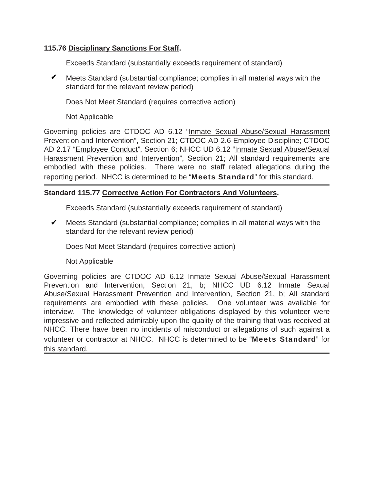## **115.76 Disciplinary Sanctions For Staff.**

Exceeds Standard (substantially exceeds requirement of standard)

 $\mathcal V$  Meets Standard (substantial compliance; complies in all material ways with the standard for the relevant review period)

Does Not Meet Standard (requires corrective action)

Not Applicable

Governing policies are CTDOC AD 6.12 "Inmate Sexual Abuse/Sexual Harassment Prevention and Intervention", Section 21; CTDOC AD 2.6 Employee Discipline; CTDOC AD 2.17 "Employee Conduct", Section 6; NHCC UD 6.12 "Inmate Sexual Abuse/Sexual Harassment Prevention and Intervention", Section 21; All standard requirements are embodied with these policies. There were no staff related allegations during the reporting period. NHCC is determined to be "Meets Standard" for this standard.

## **Standard 115.77 Corrective Action For Contractors And Volunteers.**

Exceeds Standard (substantially exceeds requirement of standard)

 $\mathcal V$  Meets Standard (substantial compliance; complies in all material ways with the standard for the relevant review period)

Does Not Meet Standard (requires corrective action)

## Not Applicable

Governing policies are CTDOC AD 6.12 Inmate Sexual Abuse/Sexual Harassment Prevention and Intervention, Section 21, b; NHCC UD 6.12 Inmate Sexual Abuse/Sexual Harassment Prevention and Intervention, Section 21, b; All standard requirements are embodied with these policies. One volunteer was available for interview. The knowledge of volunteer obligations displayed by this volunteer were impressive and reflected admirably upon the quality of the training that was received at NHCC. There have been no incidents of misconduct or allegations of such against a volunteer or contractor at NHCC. NHCC is determined to be "Meets Standard" for this standard.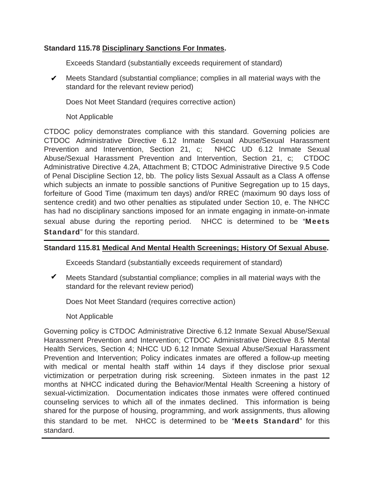## **Standard 115.78 Disciplinary Sanctions For Inmates.**

Exceeds Standard (substantially exceeds requirement of standard)

 $\mathcal V$  Meets Standard (substantial compliance; complies in all material ways with the standard for the relevant review period)

Does Not Meet Standard (requires corrective action)

Not Applicable

CTDOC policy demonstrates compliance with this standard. Governing policies are CTDOC Administrative Directive 6.12 Inmate Sexual Abuse/Sexual Harassment Prevention and Intervention, Section 21, c; NHCC UD 6.12 Inmate Sexual Abuse/Sexual Harassment Prevention and Intervention, Section 21, c; CTDOC Administrative Directive 4.2A, Attachment B; CTDOC Administrative Directive 9.5 Code of Penal Discipline Section 12, bb. The policy lists Sexual Assault as a Class A offense which subjects an inmate to possible sanctions of Punitive Segregation up to 15 days, forfeiture of Good Time (maximum ten days) and/or RREC (maximum 90 days loss of sentence credit) and two other penalties as stipulated under Section 10, e. The NHCC has had no disciplinary sanctions imposed for an inmate engaging in inmate-on-inmate sexual abuse during the reporting period. NHCC is determined to be "Meets" Standard" for this standard.

## **Standard 115.81 Medical And Mental Health Screenings; History Of Sexual Abuse.**

Exceeds Standard (substantially exceeds requirement of standard)

 $\blacktriangledown$  Meets Standard (substantial compliance; complies in all material ways with the standard for the relevant review period)

Does Not Meet Standard (requires corrective action)

Not Applicable

Governing policy is CTDOC Administrative Directive 6.12 Inmate Sexual Abuse/Sexual Harassment Prevention and Intervention; CTDOC Administrative Directive 8.5 Mental Health Services, Section 4; NHCC UD 6.12 Inmate Sexual Abuse/Sexual Harassment Prevention and Intervention; Policy indicates inmates are offered a follow-up meeting with medical or mental health staff within 14 days if they disclose prior sexual victimization or perpetration during risk screening. Sixteen inmates in the past 12 months at NHCC indicated during the Behavior/Mental Health Screening a history of sexual-victimization. Documentation indicates those inmates were offered continued counseling services to which all of the inmates declined. This information is being shared for the purpose of housing, programming, and work assignments, thus allowing this standard to be met. NHCC is determined to be "Meets Standard" for this standard.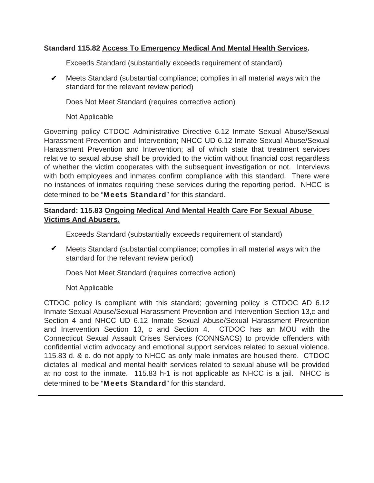## **Standard 115.82 Access To Emergency Medical And Mental Health Services.**

Exceeds Standard (substantially exceeds requirement of standard)

 $\mathcal V$  Meets Standard (substantial compliance; complies in all material ways with the standard for the relevant review period)

Does Not Meet Standard (requires corrective action)

Not Applicable

Governing policy CTDOC Administrative Directive 6.12 Inmate Sexual Abuse/Sexual Harassment Prevention and Intervention; NHCC UD 6.12 Inmate Sexual Abuse/Sexual Harassment Prevention and Intervention; all of which state that treatment services relative to sexual abuse shall be provided to the victim without financial cost regardless of whether the victim cooperates with the subsequent investigation or not. Interviews with both employees and inmates confirm compliance with this standard. There were no instances of inmates requiring these services during the reporting period. NHCC is determined to be "Meets Standard" for this standard.

## **Standard: 115.83 Ongoing Medical And Mental Health Care For Sexual Abuse Victims And Abusers.**

Exceeds Standard (substantially exceeds requirement of standard)

 $\mathcal V$  Meets Standard (substantial compliance; complies in all material ways with the standard for the relevant review period)

Does Not Meet Standard (requires corrective action)

## Not Applicable

CTDOC policy is compliant with this standard; governing policy is CTDOC AD 6.12 Inmate Sexual Abuse/Sexual Harassment Prevention and Intervention Section 13,c and Section 4 and NHCC UD 6.12 Inmate Sexual Abuse/Sexual Harassment Prevention and Intervention Section 13, c and Section 4. CTDOC has an MOU with the Connecticut Sexual Assault Crises Services (CONNSACS) to provide offenders with confidential victim advocacy and emotional support services related to sexual violence. 115.83 d. & e. do not apply to NHCC as only male inmates are housed there. CTDOC dictates all medical and mental health services related to sexual abuse will be provided at no cost to the inmate. 115.83 h-1 is not applicable as NHCC is a jail. NHCC is determined to be "Meets Standard" for this standard.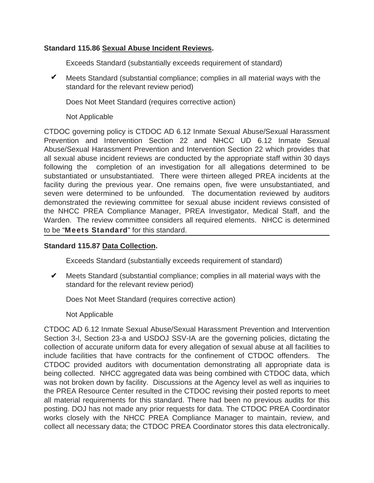## **Standard 115.86 Sexual Abuse Incident Reviews.**

Exceeds Standard (substantially exceeds requirement of standard)

 $\mathcal V$  Meets Standard (substantial compliance; complies in all material ways with the standard for the relevant review period)

Does Not Meet Standard (requires corrective action)

Not Applicable

CTDOC governing policy is CTDOC AD 6.12 Inmate Sexual Abuse/Sexual Harassment Prevention and Intervention Section 22 and NHCC UD 6.12 Inmate Sexual Abuse/Sexual Harassment Prevention and Intervention Section 22 which provides that all sexual abuse incident reviews are conducted by the appropriate staff within 30 days following the completion of an investigation for all allegations determined to be substantiated or unsubstantiated. There were thirteen alleged PREA incidents at the facility during the previous year. One remains open, five were unsubstantiated, and seven were determined to be unfounded. The documentation reviewed by auditors demonstrated the reviewing committee for sexual abuse incident reviews consisted of the NHCC PREA Compliance Manager, PREA Investigator, Medical Staff, and the Warden. The review committee considers all required elements. NHCC is determined to be "Meets Standard" for this standard.

### **Standard 115.87 Data Collection.**

Exceeds Standard (substantially exceeds requirement of standard)

 $\mathcal V$  Meets Standard (substantial compliance; complies in all material ways with the standard for the relevant review period)

Does Not Meet Standard (requires corrective action)

Not Applicable

CTDOC AD 6.12 Inmate Sexual Abuse/Sexual Harassment Prevention and Intervention Section 3-l, Section 23-a and USDOJ SSV-IA are the governing policies, dictating the collection of accurate uniform data for every allegation of sexual abuse at all facilities to include facilities that have contracts for the confinement of CTDOC offenders. The CTDOC provided auditors with documentation demonstrating all appropriate data is being collected. NHCC aggregated data was being combined with CTDOC data, which was not broken down by facility. Discussions at the Agency level as well as inquiries to the PREA Resource Center resulted in the CTDOC revising their posted reports to meet all material requirements for this standard. There had been no previous audits for this posting. DOJ has not made any prior requests for data. The CTDOC PREA Coordinator works closely with the NHCC PREA Compliance Manager to maintain, review, and collect all necessary data; the CTDOC PREA Coordinator stores this data electronically.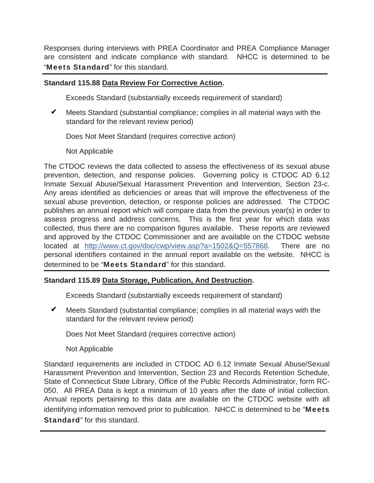Responses during interviews with PREA Coordinator and PREA Compliance Manager are consistent and indicate compliance with standard. NHCC is determined to be "Meets Standard" for this standard.

## **Standard 115.88 Data Review For Corrective Action.**

Exceeds Standard (substantially exceeds requirement of standard)

Meets Standard (substantial compliance; complies in all material ways with the standard for the relevant review period)  $\checkmark$ 

Does Not Meet Standard (requires corrective action)

Not Applicable

The CTDOC reviews the data collected to assess the effectiveness of its sexual abuse prevention, detection, and response policies. Governing policy is CTDOC AD 6.12 Inmate Sexual Abuse/Sexual Harassment Prevention and Intervention, Section 23-c. Any areas identified as deficiencies or areas that will improve the effectiveness of the sexual abuse prevention, detection, or response policies are addressed. The CTDOC publishes an annual report which will compare data from the previous year(s) in order to assess progress and address concerns. This is the first year for which data was collected, thus there are no comparison figures available. These reports are reviewed and approved by the CTDOC Commissioner and are available on the CTDOC website located at http://www.ct.gov/doc/cwp/view.asp?a=1502&Q=557868. There are no personal identifiers contained in the annual report available on the website. NHCC is determined to be "Meets Standard" for this standard.

### **Standard 115.89 Data Storage, Publication, And Destruction.**

Exceeds Standard (substantially exceeds requirement of standard)

 $\blacktriangledown$  Meets Standard (substantial compliance; complies in all material ways with the standard for the relevant review period)

Does Not Meet Standard (requires corrective action)

Not Applicable

Standard requirements are included in CTDOC AD 6.12 Inmate Sexual Abuse/Sexual Harassment Prevention and Intervention, Section 23 and Records Retention Schedule, State of Connecticut State Library, Office of the Public Records Administrator, form RC-050. All PREA Data is kept a minimum of 10 years after the date of initial collection. Annual reports pertaining to this data are available on the CTDOC website with all identifying information removed prior to publication. NHCC is determined to be "Meets" Standard" for this standard.